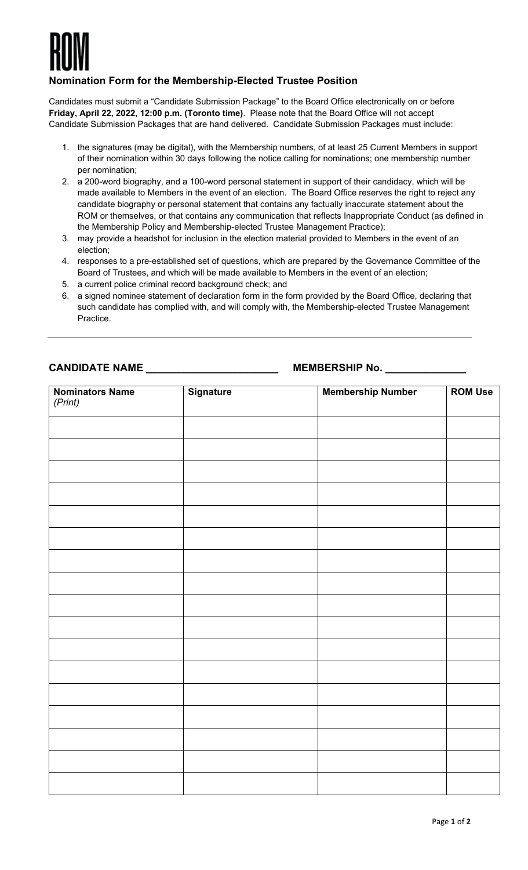

## **Nomination Form for the Membership-Elected Trustee Position**

Candidates must submit a "Candidate Submission Package" to the Board Office electronically on or before **Friday, April 22, 2022, 12:00 p.m. (Toronto time)**. Please note that the Board Office will not accept Candidate Submission Packages that are hand delivered. Candidate Submission Packages must include:

- 1. the signatures (may be digital), with the Membership numbers, of at least 25 Current Members in support of their nomination within 30 days following the notice calling for nominations; one membership number per nomination;
- 2. a 200-word biography, and a 100-word personal statement in support of their candidacy, which will be made available to Members in the event of an election. The Board Office reserves the right to reject any candidate biography or personal statement that contains any factually inaccurate statement about the ROM or themselves, or that contains any communication that reflects Inappropriate Conduct (as defined in the Membership Policy and Membership-elected Trustee Management Practice);
- 3. may provide a headshot for inclusion in the election material provided to Members in the event of an election;
- 4. responses to a pre-established set of questions, which are prepared by the Governance Committee of the Board of Trustees, and which will be made available to Members in the event of an election;
- 5. a current police criminal record background check; and
- 6. a signed nominee statement of declaration form in the form provided by the Board Office, declaring that such candidate has complied with, and will comply with, the Membership-elected Trustee Management Practice.

**CANDIDATE NAME \_\_\_\_\_\_\_\_\_\_\_\_\_\_\_\_\_\_\_\_\_\_\_ MEMBERSHIP No. \_\_\_\_\_\_\_\_\_\_\_\_\_\_**

| <b>Nominators Name</b><br>(Print) | Signature | <b>Membership Number</b> | <b>ROM Use</b> |
|-----------------------------------|-----------|--------------------------|----------------|
|                                   |           |                          |                |
|                                   |           |                          |                |
|                                   |           |                          |                |
|                                   |           |                          |                |
|                                   |           |                          |                |
|                                   |           |                          |                |
|                                   |           |                          |                |
|                                   |           |                          |                |
|                                   |           |                          |                |
|                                   |           |                          |                |
|                                   |           |                          |                |
|                                   |           |                          |                |
|                                   |           |                          |                |
|                                   |           |                          |                |
|                                   |           |                          |                |
|                                   |           |                          |                |
|                                   |           |                          |                |
|                                   |           |                          |                |